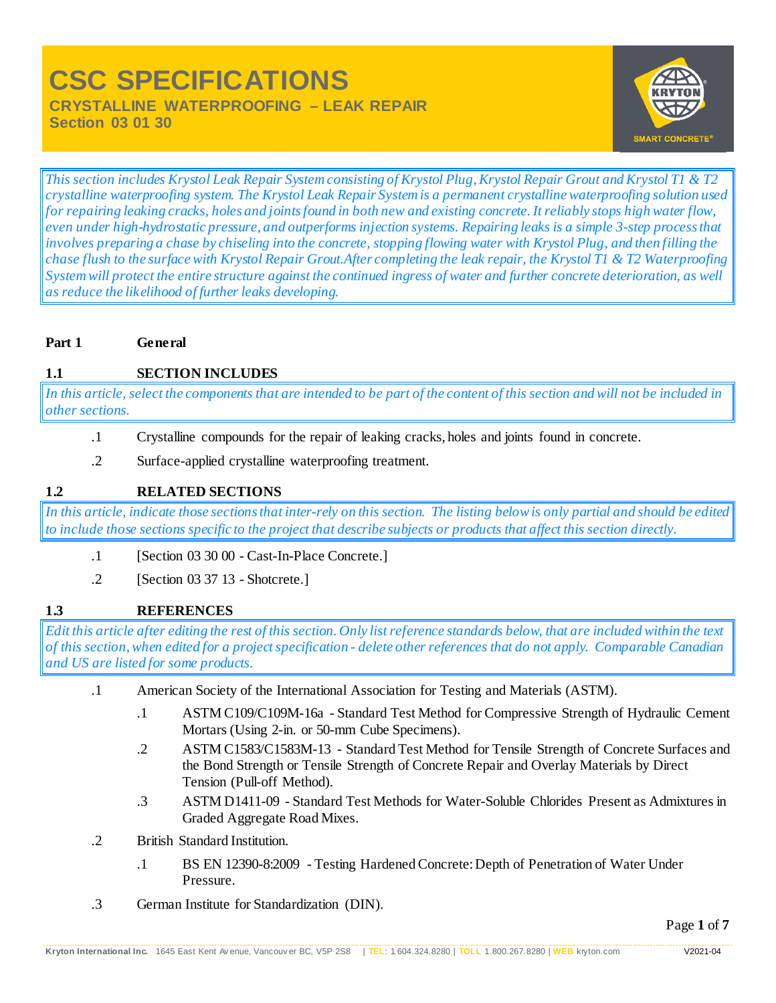# **CSC SPECIFICATIONS CRYSTALLINE WATERPROOFING – LEAK REPAIR**

**Section 03 01 30**



*This section includes Krystol Leak Repair System consisting of Krystol Plug, Krystol Repair Grout and Krystol T1 & T2 crystalline waterproofing system. The Krystol Leak Repair System is a permanent crystalline waterproofing solution used for repairing leaking cracks, holes and joints found in both new and existing concrete. It reliably stops high water flow, even under high-hydrostatic pressure, and outperforms injection systems. Repairing leaks is a simple 3-step process that involves preparing a chase by chiseling into the concrete, stopping flowing water with Krystol Plug, and then filling the chase flush to the surface with Krystol Repair Grout.After completing the leak repair, the Krystol T1 & T2 Waterproofing System will protect the entire structure against the continued ingress of water and further concrete deterioration, as well as reduce the likelihood of further leaks developing.*

# **Part 1 General**

# **1.1 SECTION INCLUDES**

*In this article, select the components that are intended to be part of the content of this section and will not be included in other sections.*

- .1 Crystalline compounds for the repair of leaking cracks, holes and joints found in concrete.
- .2 Surface-applied crystalline waterproofing treatment.

# **1.2 RELATED SECTIONS**

*In this article, indicate those sections that inter-rely on this section. The listing below is only partial and should be edited to include those sections specific to the project that describe subjects or products that affect this section directly.*

- .1 [Section 03 30 00 Cast-In-Place Concrete.]
- .2 [Section 03 37 13 Shotcrete.]

# **1.3 REFERENCES**

*Edit this article after editing the rest of this section. Only list reference standards below, that are included within the text of this section, when edited for a project specification - delete other references that do not apply. Comparable Canadian and US are listed for some products.*

- .1 American Society of the International Association for Testing and Materials (ASTM).
	- .1 ASTM C109/C109M-16a Standard Test Method for Compressive Strength of Hydraulic Cement Mortars (Using 2-in. or 50-mm Cube Specimens).
	- .2 ASTM C1583/C1583M-13 Standard Test Method for Tensile Strength of Concrete Surfaces and the Bond Strength or Tensile Strength of Concrete Repair and Overlay Materials by Direct Tension (Pull-off Method).
	- .3 ASTM D1411-09 Standard Test Methods for Water-Soluble Chlorides Present as Admixtures in Graded Aggregate Road Mixes.
- .2 British Standard Institution.
	- .1 BS EN 12390-8:2009 Testing Hardened Concrete: Depth of Penetration of Water Under Pressure.
- .3 German Institute for Standardization (DIN).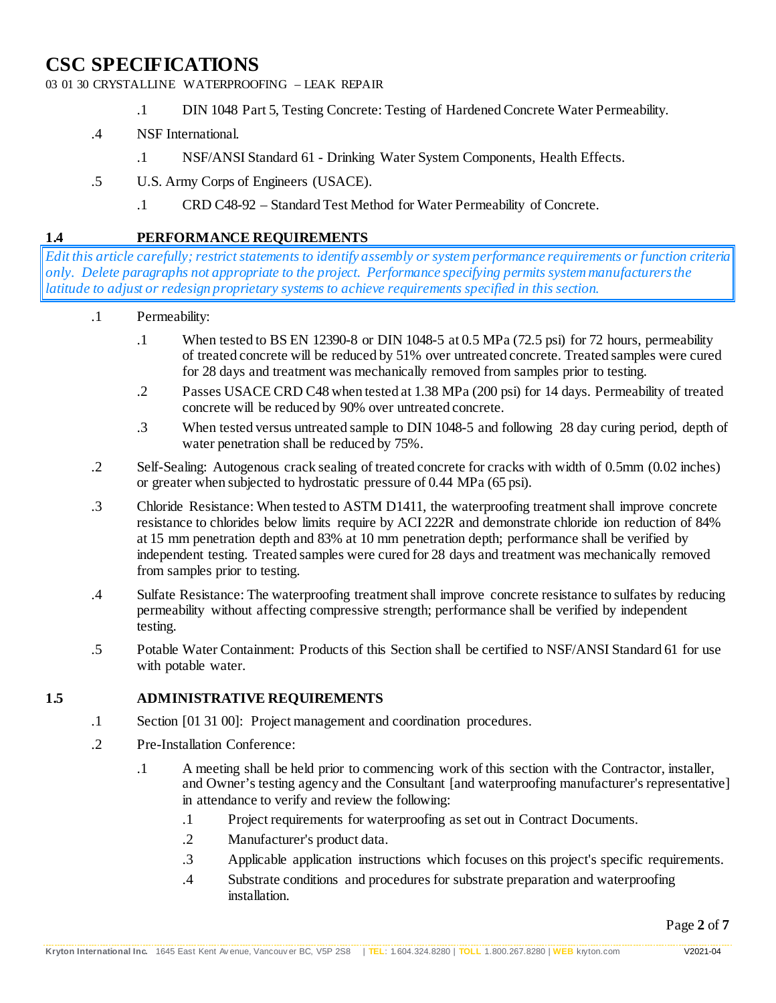03 01 30 CRYSTALLINE WATERPROOFING – LEAK REPAIR

- .1 DIN 1048 Part 5, Testing Concrete: Testing of Hardened Concrete Water Permeability.
- .4 NSF International.
	- .1 NSF/ANSI Standard 61 Drinking Water System Components, Health Effects.
- .5 U.S. Army Corps of Engineers (USACE).
	- .1 CRD C48-92 Standard Test Method for Water Permeability of Concrete.

# **1.4 PERFORMANCE REQUIREMENTS**

*Edit this article carefully; restrict statements to identify assembly or system performance requirements or function criteria only. Delete paragraphs not appropriate to the project. Performance specifying permits system manufacturers the latitude to adjust or redesign proprietary systems to achieve requirements specified in this section.*

- .1 Permeability:
	- .1 When tested to BS EN 12390-8 or DIN 1048-5 at 0.5 MPa (72.5 psi) for 72 hours, permeability of treated concrete will be reduced by 51% over untreated concrete. Treated samples were cured for 28 days and treatment was mechanically removed from samples prior to testing.
	- .2 Passes USACE CRD C48 when tested at 1.38 MPa (200 psi) for 14 days. Permeability of treated concrete will be reduced by 90% over untreated concrete.
	- .3 When tested versus untreated sample to DIN 1048-5 and following 28 day curing period, depth of water penetration shall be reduced by 75%.
- .2 Self-Sealing: Autogenous crack sealing of treated concrete for cracks with width of 0.5mm (0.02 inches) or greater when subjected to hydrostatic pressure of 0.44 MPa (65 psi).
- .3 Chloride Resistance: When tested to ASTM D1411, the waterproofing treatment shall improve concrete resistance to chlorides below limits require by ACI 222R and demonstrate chloride ion reduction of 84% at 15 mm penetration depth and 83% at 10 mm penetration depth; performance shall be verified by independent testing. Treated samples were cured for 28 days and treatment was mechanically removed from samples prior to testing.
- .4 Sulfate Resistance: The waterproofing treatment shall improve concrete resistance to sulfates by reducing permeability without affecting compressive strength; performance shall be verified by independent testing.
- .5 Potable Water Containment: Products of this Section shall be certified to NSF/ANSI Standard 61 for use with potable water.

#### **1.5 ADMINISTRATIVE REQUIREMENTS**

- .1 Section [01 31 00]: Project management and coordination procedures.
- .2 Pre-Installation Conference:
	- .1 A meeting shall be held prior to commencing work of this section with the Contractor, installer, and Owner's testing agency and the Consultant [and waterproofing manufacturer's representative] in attendance to verify and review the following:
		- .1 Project requirements for waterproofing as set out in Contract Documents.
		- .2 Manufacturer's product data.
		- .3 Applicable application instructions which focuses on this project's specific requirements.
		- .4 Substrate conditions and procedures for substrate preparation and waterproofing installation.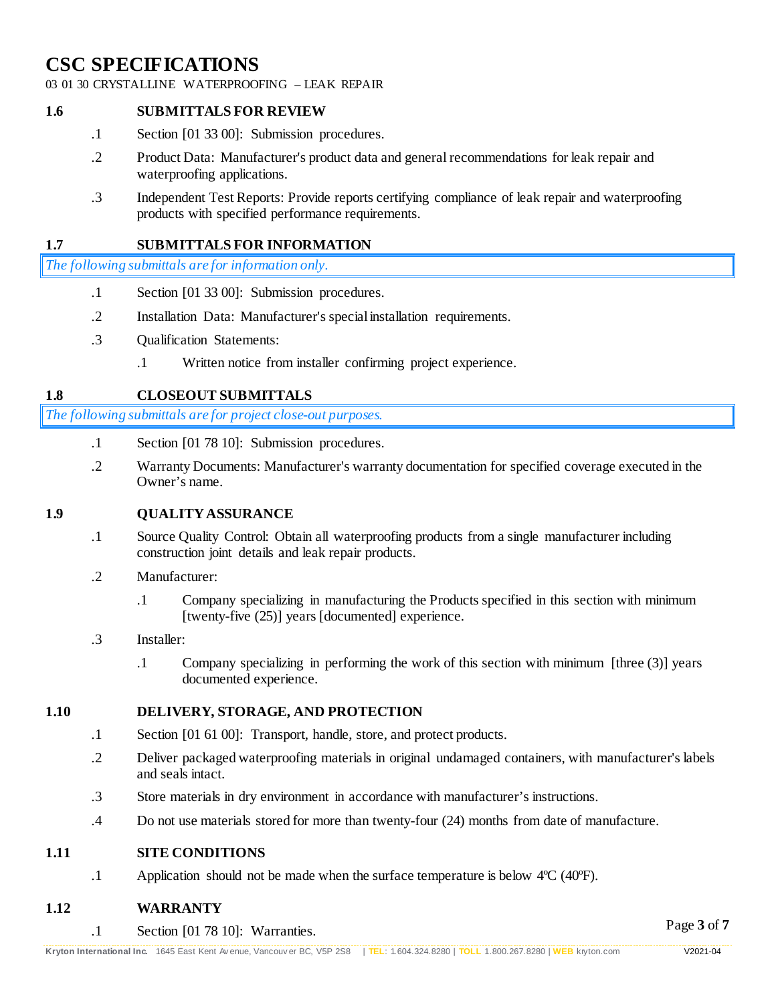03 01 30 CRYSTALLINE WATERPROOFING – LEAK REPAIR

#### **1.6 SUBMITTALS FOR REVIEW**

- .1 Section [01 33 00]: Submission procedures.
- .2 Product Data: Manufacturer's product data and general recommendations for leak repair and waterproofing applications.
- .3 Independent Test Reports: Provide reports certifying compliance of leak repair and waterproofing products with specified performance requirements.

#### **1.7 SUBMITTALS FOR INFORMATION**

*The following submittals are for information only.*

- .1 Section [01 33 00]: Submission procedures.
- .2 Installation Data: Manufacturer's special installation requirements.
- .3 Qualification Statements:
	- .1 Written notice from installer confirming project experience.

#### **1.8 CLOSEOUT SUBMITTALS**

*The following submittals are for project close-out purposes.*

- .1 Section [01 78 10]: Submission procedures.
- .2 Warranty Documents: Manufacturer's warranty documentation for specified coverage executed in the Owner's name.

#### **1.9 QUALITY ASSURANCE**

- .1 Source Quality Control: Obtain all waterproofing products from a single manufacturer including construction joint details and leak repair products.
- .2 Manufacturer:
	- .1 Company specializing in manufacturing the Products specified in this section with minimum [twenty-five (25)] years [documented] experience.
- .3 Installer:
	- .1 Company specializing in performing the work of this section with minimum [three (3)] years documented experience.

#### **1.10 DELIVERY, STORAGE, AND PROTECTION**

- .1 Section [01 61 00]: Transport, handle, store, and protect products.
- .2 Deliver packaged waterproofing materials in original undamaged containers, with manufacturer's labels and seals intact.
- .3 Store materials in dry environment in accordance with manufacturer's instructions.
- .4 Do not use materials stored for more than twenty-four (24) months from date of manufacture.

#### **1.11 SITE CONDITIONS**

.1 Application should not be made when the surface temperature is below 4ºC (40ºF).

#### **1.12 WARRANTY**

.1 Section [01 78 10]: Warranties.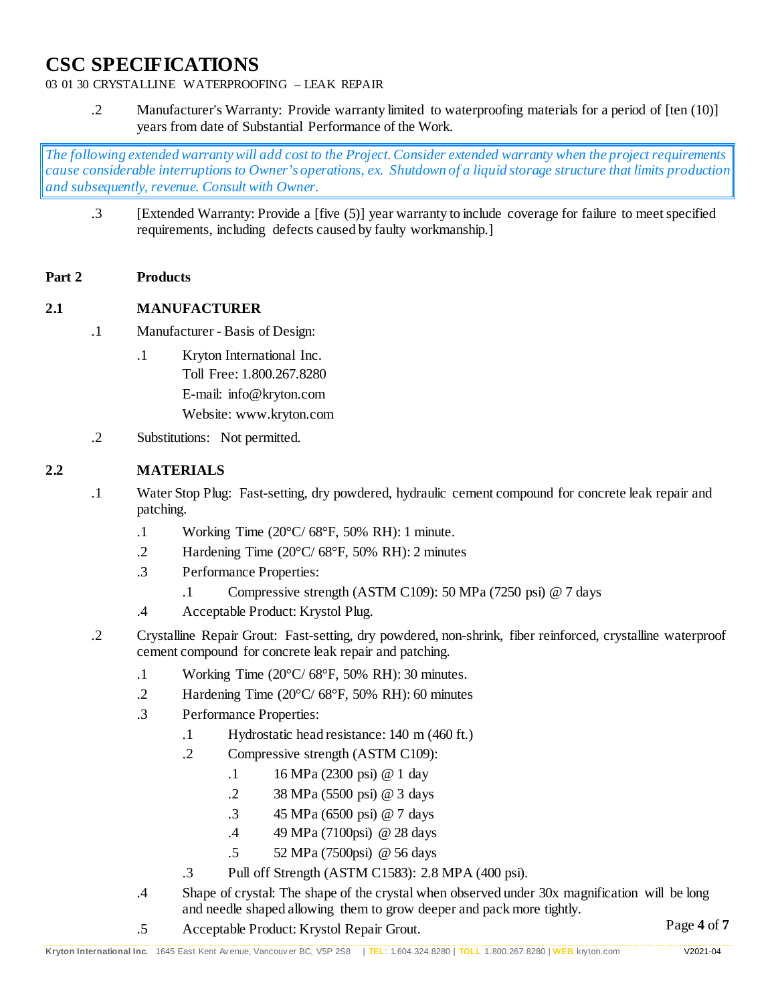# 03 01 30 CRYSTALLINE WATERPROOFING – LEAK REPAIR

.2 Manufacturer's Warranty: Provide warranty limited to waterproofing materials for a period of [ten (10)] years from date of Substantial Performance of the Work.

*The following extended warranty will add cost to the Project. Consider extended warranty when the project requirements cause considerable interruptions to Owner's operations, ex. Shutdown of a liquid storage structure that limits production and subsequently, revenue. Consult with Owner.*

.3 [Extended Warranty: Provide a [five (5)] year warranty to include coverage for failure to meet specified requirements, including defects caused by faulty workmanship.]

#### **Part 2 Products**

# **2.1 MANUFACTURER**

- .1 Manufacturer Basis of Design:
	- .1 Kryton International Inc. Toll Free: 1.800.267.8280 E-mail: info@kryton.com Website: www.kryton.com
- .2 Substitutions: Not permitted.

# **2.2 MATERIALS**

- .1 Water Stop Plug: Fast-setting, dry powdered, hydraulic cement compound for concrete leak repair and patching.
	- .1 Working Time (20°C/ 68°F, 50% RH): 1 minute.
	- .2 Hardening Time (20°C/ 68°F, 50% RH): 2 minutes
	- .3 Performance Properties:
		- .1 Compressive strength (ASTM C109): 50 MPa (7250 psi) @ 7 days
	- .4 Acceptable Product: Krystol Plug.
- .2 Crystalline Repair Grout: Fast-setting, dry powdered, non-shrink, fiber reinforced, crystalline waterproof cement compound for concrete leak repair and patching.
	- .1 Working Time  $(20^{\circ}C/68^{\circ}F, 50\% \text{ RH})$ : 30 minutes.
	- .2 Hardening Time (20°C/ 68°F, 50% RH): 60 minutes
	- .3 Performance Properties:
		- .1 Hydrostatic head resistance: 140 m (460 ft.)
		- .2 Compressive strength (ASTM C109):
			- .1 16 MPa (2300 psi) @ 1 day
			- .2 38 MPa (5500 psi) @ 3 days
			- .3 45 MPa (6500 psi) @ 7 days
			- .4 49 MPa (7100psi) @ 28 days
			- .5 52 MPa (7500psi) @ 56 days
		- .3 Pull off Strength (ASTM C1583): 2.8 MPA (400 psi).
	- .4 Shape of crystal: The shape of the crystal when observed under 30x magnification will be long and needle shaped allowing them to grow deeper and pack more tightly.
	- .5 Acceptable Product: Krystol Repair Grout.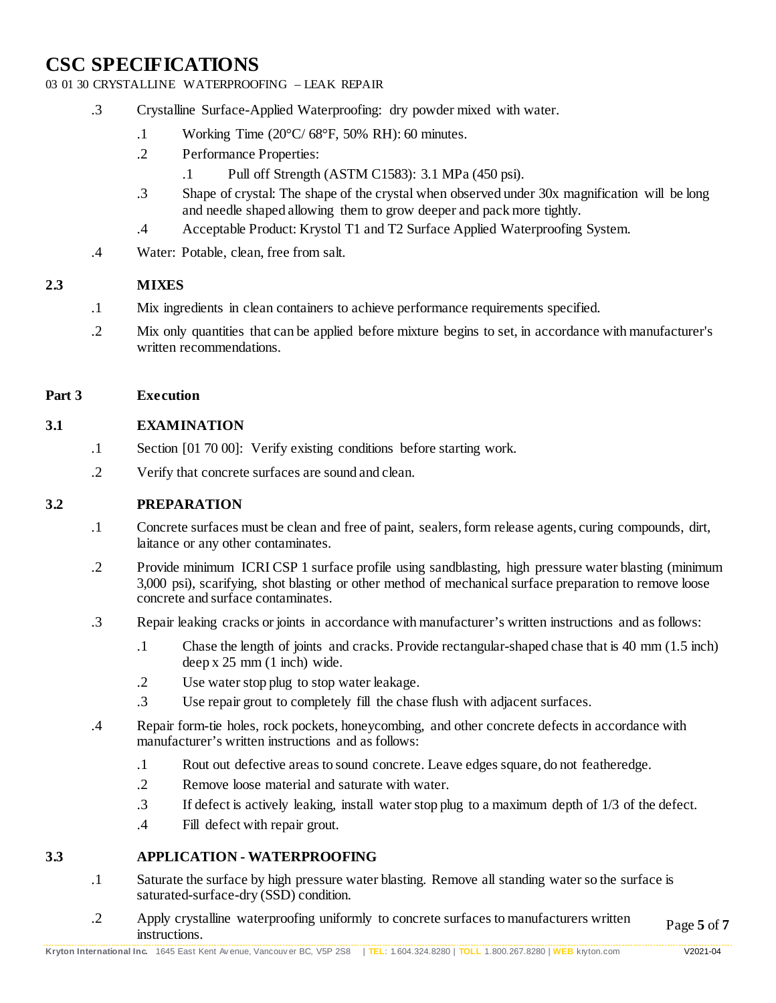03 01 30 CRYSTALLINE WATERPROOFING – LEAK REPAIR

- .3 Crystalline Surface-Applied Waterproofing: dry powder mixed with water.
	- .1 Working Time (20°C/ 68°F, 50% RH): 60 minutes.
	- .2 Performance Properties:
		- .1 Pull off Strength (ASTM C1583): 3.1 MPa (450 psi).
	- .3 Shape of crystal: The shape of the crystal when observed under 30x magnification will be long and needle shaped allowing them to grow deeper and pack more tightly.
	- .4 Acceptable Product: Krystol T1 and T2 Surface Applied Waterproofing System.
- .4 Water: Potable, clean, free from salt.

#### **2.3 MIXES**

- .1 Mix ingredients in clean containers to achieve performance requirements specified.
- .2 Mix only quantities that can be applied before mixture begins to set, in accordance with manufacturer's written recommendations.

#### **Part 3 Execution**

#### **3.1 EXAMINATION**

- .1 Section [01 70 00]: Verify existing conditions before starting work.
- .2 Verify that concrete surfaces are sound and clean.

#### **3.2 PREPARATION**

- .1 Concrete surfaces must be clean and free of paint, sealers, form release agents, curing compounds, dirt, laitance or any other contaminates.
- .2 Provide minimum ICRI CSP 1 surface profile using sandblasting, high pressure water blasting (minimum 3,000 psi), scarifying, shot blasting or other method of mechanical surface preparation to remove loose concrete and surface contaminates.
- .3 Repair leaking cracks or joints in accordance with manufacturer's written instructions and as follows:
	- .1 Chase the length of joints and cracks. Provide rectangular-shaped chase that is 40 mm (1.5 inch) deep x 25 mm (1 inch) wide.
	- .2 Use water stop plug to stop water leakage.
	- .3 Use repair grout to completely fill the chase flush with adjacent surfaces.
- .4 Repair form-tie holes, rock pockets, honeycombing, and other concrete defects in accordance with manufacturer's written instructions and as follows:
	- .1 Rout out defective areas to sound concrete. Leave edges square, do not featheredge.
	- .2 Remove loose material and saturate with water.
	- .3 If defect is actively leaking, install water stop plug to a maximum depth of 1/3 of the defect.
	- .4 Fill defect with repair grout.

# **3.3 APPLICATION - WATERPROOFING**

- .1 Saturate the surface by high pressure water blasting. Remove all standing water so the surface is saturated-surface-dry (SSD) condition.
- Page **5** of **7** .2 Apply crystalline waterproofing uniformly to concrete surfaces to manufacturers written instructions.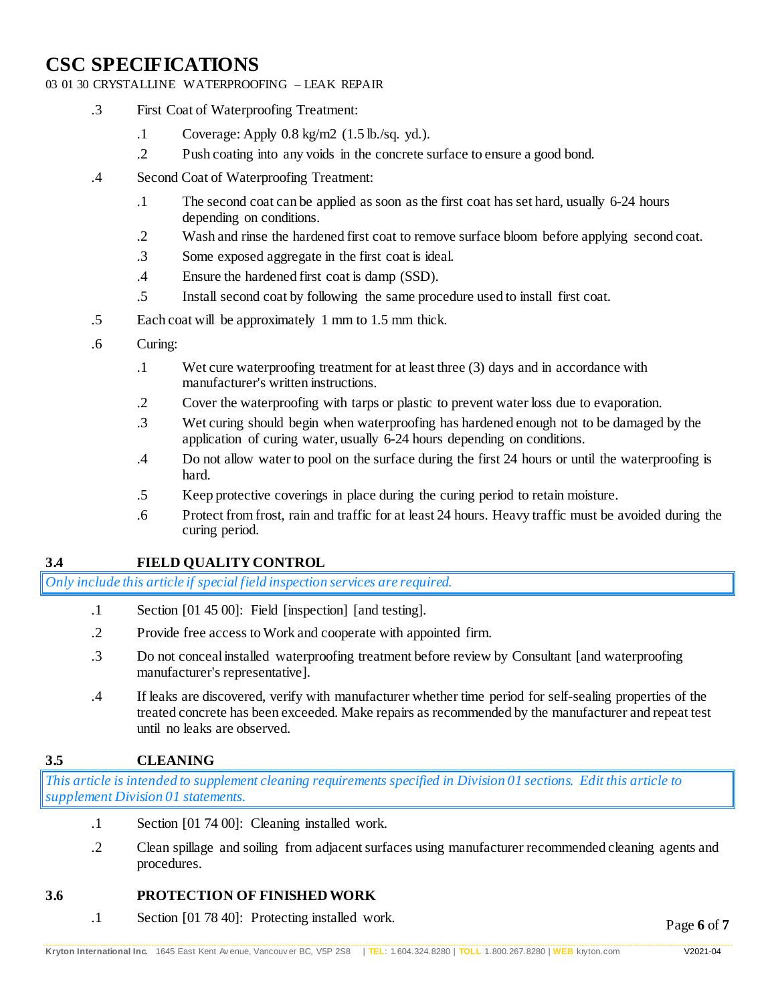#### 03 01 30 CRYSTALLINE WATERPROOFING – LEAK REPAIR

- .3 First Coat of Waterproofing Treatment:
	- .1 Coverage: Apply 0.8 kg/m2 (1.5 lb./sq. yd.).
	- .2 Push coating into any voids in the concrete surface to ensure a good bond.
- .4 Second Coat of Waterproofing Treatment:
	- .1 The second coat can be applied as soon as the first coat has set hard, usually 6-24 hours depending on conditions.
	- .2 Wash and rinse the hardened first coat to remove surface bloom before applying second coat.
	- .3 Some exposed aggregate in the first coat is ideal.
	- .4 Ensure the hardened first coat is damp (SSD).
	- .5 Install second coat by following the same procedure used to install first coat.
- .5 Each coat will be approximately 1 mm to 1.5 mm thick.
- .6 Curing:
	- .1 Wet cure waterproofing treatment for at least three (3) days and in accordance with manufacturer's written instructions.
	- .2 Cover the waterproofing with tarps or plastic to prevent water loss due to evaporation.
	- .3 Wet curing should begin when waterproofing has hardened enough not to be damaged by the application of curing water, usually 6-24 hours depending on conditions.
	- .4 Do not allow water to pool on the surface during the first 24 hours or until the waterproofing is hard.
	- .5 Keep protective coverings in place during the curing period to retain moisture.
	- .6 Protect from frost, rain and traffic for at least 24 hours. Heavy traffic must be avoided during the curing period.

# **3.4 FIELD QUALITY CONTROL**

*Only include this article if special field inspection services are required.*

- .1 Section [01 45 00]: Field [inspection] [and testing].
- .2 Provide free access to Work and cooperate with appointed firm.
- .3 Do not conceal installed waterproofing treatment before review by Consultant [and waterproofing manufacturer's representative].
- .4 If leaks are discovered, verify with manufacturer whether time period for self-sealing properties of the treated concrete has been exceeded. Make repairs as recommended by the manufacturer and repeat test until no leaks are observed.

# **3.5 CLEANING**

*This article is intended to supplement cleaning requirements specified in Division 01 sections. Edit this article to supplement Division 01 statements.*

- .1 Section [01 74 00]: Cleaning installed work.
- .2 Clean spillage and soiling from adjacent surfaces using manufacturer recommended cleaning agents and procedures.

# **3.6 PROTECTION OF FINISHED WORK**

.1 Section [01 78 40]: Protecting installed work.